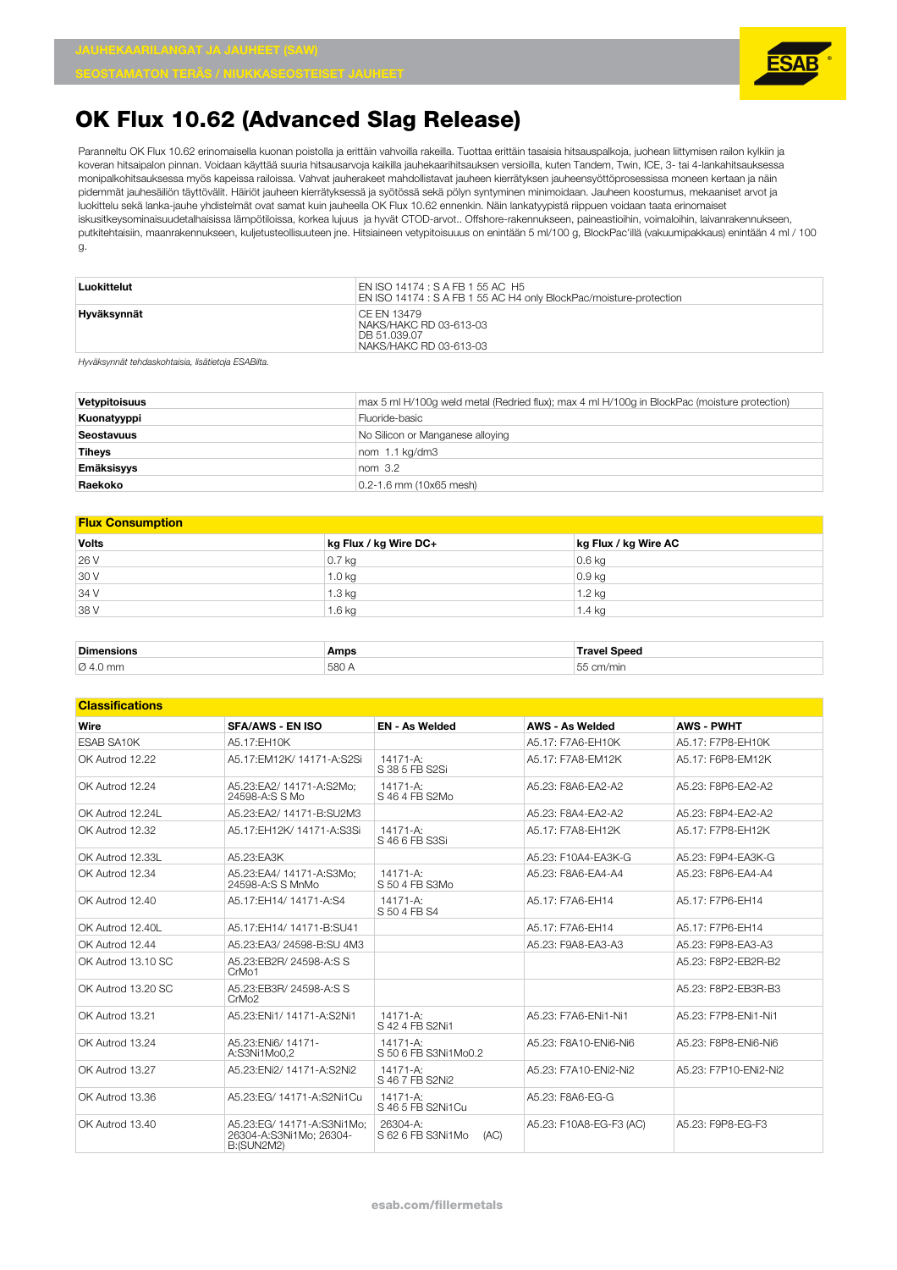

Paranneltu OK Flux 10.62 erinomaisella kuonan poistolla ja erittäin vahvoilla rakeilla. Tuottaa erittäin tasaisia hitsauspalkoja, juohean liittymisen railon kylkiin ja koveran hitsaipalon pinnan. Voidaan käyttää suuria hitsausarvoja kaikilla jauhekaarihitsauksen versioilla, kuten Tandem, Twin, ICE, 3- tai 4-lankahitsauksessa monipalkohitsauksessa myös kapeissa railoissa. Vahvat jauherakeet mahdollistavat jauheen kierrätyksen jauheensyöttöprosessissa moneen kertaan ja näin pidemmät jauhesäiliön täyttövälit. Häiriöt jauheen kierrätyksessä ja syötössä sekä pölyn syntyminen minimoidaan. Jauheen koostumus, mekaaniset arvot ja luokittelu sekä lanka-jauhe yhdistelmät ovat samat kuin jauheella OK Flux 10.62 ennenkin. Näin lankatyypistä riippuen voidaan taata erinomaiset iskusitkeysominaisuudetalhaisissa lämpötiloissa, korkea lujuus ja hyvät CTOD-arvot.. Offshore-rakennukseen, paineastioihin, voimaloihin, laivanrakennukseen, putkitehtaisiin, maanrakennukseen, kuljetusteollisuuteen jne. Hitsiaineen vetypitoisuuus on enintään 5 ml/100 g, BlockPac'illä (vakuumipakkaus) enintään 4 ml / 100 g.

| Luokittelut | EN ISO 14174 : S A FB 1 55 AC H5<br>EN ISO 14174 : S A FB 1 55 AC H4 only BlockPac/moisture-protection |
|-------------|--------------------------------------------------------------------------------------------------------|
| Hyväksynnät | CE EN 13479<br>NAKS/HAKC RD 03-613-03<br>DB 51.039.07<br>NAKS/HAKC RD 03-613-03                        |

*Hyväksynnät tehdaskohtaisia, lisätietoja ESABilta.*

| Vetypitoisuus     | max 5 ml H/100g weld metal (Redried flux); max 4 ml H/100g in BlockPac (moisture protection) |
|-------------------|----------------------------------------------------------------------------------------------|
| Kuonatyyppi       | Fluoride-basic                                                                               |
| Seostavuus        | No Silicon or Manganese alloying                                                             |
| Tiheys            | nom 1.1 kg/dm3                                                                               |
| <b>Emäksisyys</b> | nom <sub>3.2</sub>                                                                           |
| Raekoko           | 0.2-1.6 mm (10x65 mesh)                                                                      |

#### **Flux Consumption**

| <b>Volts</b> | kg Flux / kg Wire DC+ | kg Flux / kg Wire AC |
|--------------|-----------------------|----------------------|
| 26 V         | $0.7$ kg              | $0.6$ kg             |
| 30 V         | 1.0 kg                | $0.9$ kg             |
| 34 V         | $1.3$ kg              | 1.2 kg               |
| 38 V         | $1.6$ kg              | 1.4 kg               |
|              |                       |                      |

| <b>Dimensi</b><br>.  | Amps     | <b>Snoor</b><br><b>THALL</b>                  |
|----------------------|----------|-----------------------------------------------|
| $\varnothing$ 4.0 mm | 580<br>. | $ -$<br>$\sim$<br>רוmin<br>$k_{\rm B}$<br>. . |

#### **Classifications**

| Wire               | <b>SFA/AWS - EN ISO</b>                                                    | <b>EN - As Welded</b>                 | <b>AWS - As Welded</b>  | <b>AWS - PWHT</b>     |
|--------------------|----------------------------------------------------------------------------|---------------------------------------|-------------------------|-----------------------|
| <b>ESAB SA10K</b>  | A5.17:EH10K                                                                |                                       | A5.17: F7A6-EH10K       | A5.17: F7P8-EH10K     |
| OK Autrod 12.22    | A5.17:EM12K/ 14171-A:S2Si                                                  | $14171 - A$ :<br>S 38 5 FB S2Si       | A5.17: F7A8-EM12K       | A5.17: F6P8-EM12K     |
| OK Autrod 12.24    | A5.23:EA2/ 14171-A:S2Mo;<br>24598-A:S S Mo                                 | 14171-A:<br>S 46 4 FB S2Mo            | A5.23: F8A6-EA2-A2      | A5.23: F8P6-EA2-A2    |
| OK Autrod 12.24L   | A5.23: FA2/ 14171-B: SU2M3                                                 |                                       | A5.23: F8A4-FA2-A2      | A5.23: F8P4-FA2-A2    |
| OK Autrod 12.32    | A5.17:EH12K/ 14171-A:S3Si                                                  | $14171 - A$ :<br>S 46 6 FB S3Si       | A5.17: F7A8-EH12K       | A5.17: F7P8-EH12K     |
| OK Autrod 12.33L   | A5.23:EA3K                                                                 |                                       | A5.23: F10A4-EA3K-G     | A5.23: F9P4-EA3K-G    |
| OK Autrod 12.34    | A5.23:EA4/ 14171-A:S3Mo:<br>24598-A:S S MnMo                               | 14171-A:<br>S 50 4 FB S3Mo            | A5.23: F8A6-FA4-A4      | A5.23: F8P6-FA4-A4    |
| OK Autrod 12.40    | A5.17:EH14/ 14171-A:S4                                                     | $14171 - A$ :<br>S 50 4 FB S4         | A5.17: F7A6-FH14        | A5.17: F7P6-FH14      |
| OK Autrod 12.40L   | A5.17: FH14/ 14171-B: SU41                                                 |                                       | A5.17: F7A6-FH14        | A5.17: F7P6-EH14      |
| OK Autrod 12.44    | A5.23:EA3/24598-B:SU 4M3                                                   |                                       | A5.23: F9A8-EA3-A3      | A5.23: F9P8-EA3-A3    |
| OK Autrod 13.10 SC | A5.23:EB2R/ 24598-A:S S<br>CrMo1                                           |                                       |                         | A5.23: F8P2-EB2R-B2   |
| OK Autrod 13.20 SC | A5.23:EB3R/ 24598-A:S S<br>CrMo <sub>2</sub>                               |                                       |                         | A5.23: F8P2-EB3R-B3   |
| OK Autrod 13.21    | A5.23: ENi1/ 14171-A: S2Ni1                                                | $14171 - A$ :<br>S 42 4 FB S2Ni1      | A5.23: F7A6-ENi1-Ni1    | A5.23: F7P8-ENi1-Ni1  |
| OK Autrod 13.24    | A5.23: FNi6/ 14171-<br>A:S3Ni1Mo0.2                                        | 14171-A:<br>S 50 6 FB S3Ni1Mo0.2      | A5.23: F8A10-ENi6-Ni6   | A5.23: F8P8-ENi6-Ni6  |
| OK Autrod 13.27    | A5.23: ENi2/ 14171-A: S2Ni2                                                | $14171 - A$ :<br>S 46 7 FB S2Ni2      | A5.23: F7A10-ENi2-Ni2   | A5.23: F7P10-ENi2-Ni2 |
| OK Autrod 13.36    | A5.23:EG/ 14171-A:S2Ni1Cu                                                  | 14171-A:<br>S 46 5 FB S2Ni1Cu         | A5.23: F8A6-EG-G        |                       |
| OK Autrod 13.40    | A5.23:EG/ 14171-A:S3Ni1Mo:<br>26304-A:S3Ni1Mo; 26304-<br><b>B:(SUN2M2)</b> | 26304-A:<br>S 62 6 FB S3Ni1Mo<br>(AC) | A5.23: F10A8-EG-F3 (AC) | A5.23: F9P8-EG-F3     |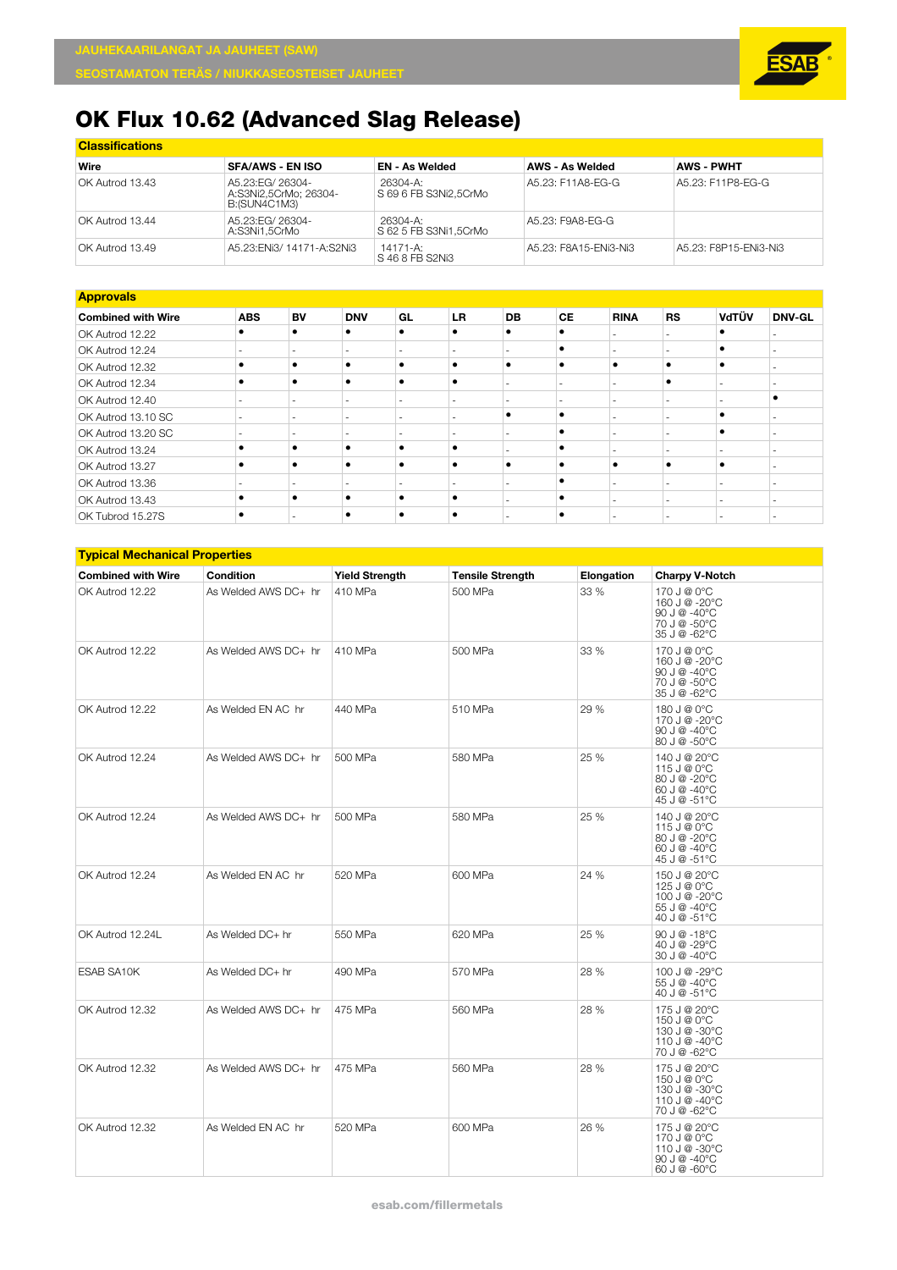

| <b>Classifications</b> |                                                            |                                   |                        |                       |  |  |  |  |  |
|------------------------|------------------------------------------------------------|-----------------------------------|------------------------|-----------------------|--|--|--|--|--|
| Wire                   | <b>SFA/AWS - EN ISO</b>                                    | <b>EN - As Welded</b>             | <b>AWS - As Welded</b> | <b>AWS - PWHT</b>     |  |  |  |  |  |
| OK Autrod 13.43        | A5.23: EG/ 26304-<br>A:S3Ni2.5CrMo: 26304-<br>B:(SUN4C1M3) | 26304-A:<br>S 69 6 FB S3Ni2.5CrMo | A5.23: F11A8-EG-G      | A5.23: F11P8-FG-G     |  |  |  |  |  |
| OK Autrod 13.44        | A5.23: EG/ 26304-<br>A:S3Ni1,5CrMo                         | 26304-A:<br>S 62 5 FB S3Ni1.5CrMo | A5.23: F9A8-EG-G       |                       |  |  |  |  |  |
| OK Autrod 13.49        | A5.23: ENi3/ 14171-A: S2Ni3                                | 14171-A:<br>S 46 8 FB S2Ni3       | A5.23: F8A15-ENi3-Ni3  | A5.23: F8P15-ENi3-Ni3 |  |  |  |  |  |

| <b>Approvals</b>          |            |    |                          |           |           |                          |           |                          |                          |       |               |
|---------------------------|------------|----|--------------------------|-----------|-----------|--------------------------|-----------|--------------------------|--------------------------|-------|---------------|
| <b>Combined with Wire</b> | <b>ABS</b> | BV | <b>DNV</b>               | GL        | <b>LR</b> | DB                       | <b>CE</b> | <b>RINA</b>              | <b>RS</b>                | VdTÜV | <b>DNV-GL</b> |
| OK Autrod 12.22           |            |    | $\bullet$                |           |           | $\bullet$                |           |                          |                          |       |               |
| OK Autrod 12.24           |            |    | $\overline{\phantom{a}}$ |           |           |                          | ٠         |                          |                          |       |               |
| OK Autrod 12.32           |            |    | $\bullet$                |           |           | $\bullet$                | ۰         | ٠                        | ٠                        |       |               |
| OK Autrod 12.34           |            |    | $\bullet$                | $\bullet$ |           |                          |           |                          | ٠                        |       |               |
| OK Autrod 12.40           |            |    | $\overline{\phantom{a}}$ |           |           |                          |           |                          | $\overline{a}$           |       |               |
| OK Autrod 13.10 SC        |            |    | $\overline{\phantom{a}}$ |           |           | ٠                        |           |                          | $\overline{\phantom{a}}$ |       |               |
| OK Autrod 13.20 SC        |            |    | -                        |           |           |                          |           |                          | $\sim$                   |       |               |
| OK Autrod 13.24           | ٠          |    | $\bullet$                | $\bullet$ |           |                          | ٠         |                          | $\overline{\phantom{a}}$ |       |               |
| OK Autrod 13.27           |            |    | $\bullet$                |           |           | $\bullet$                |           |                          | ٠                        |       |               |
| OK Autrod 13.36           |            |    |                          |           |           |                          |           |                          |                          |       |               |
| OK Autrod 13.43           | ٠          |    | $\bullet$                | $\bullet$ |           |                          | ٠         | $\overline{\phantom{a}}$ | $\sim$                   |       |               |
| OK Tubrod 15.27S          | ٠          |    | ٠                        |           |           | $\overline{\phantom{a}}$ | ٠         |                          | $\overline{\phantom{a}}$ |       |               |

| <b>Typical Mechanical Properties</b> |                      |                       |                         |            |                                                                                                                |  |  |  |
|--------------------------------------|----------------------|-----------------------|-------------------------|------------|----------------------------------------------------------------------------------------------------------------|--|--|--|
| <b>Combined with Wire</b>            | Condition            | <b>Yield Strength</b> | <b>Tensile Strength</b> | Elongation | <b>Charpy V-Notch</b>                                                                                          |  |  |  |
| OK Autrod 12.22                      | As Welded AWS DC+ hr | 410 MPa               | 500 MPa                 | 33 %       | 170 J @ 0°C<br>160 J @ -20°C<br>90 J @ -40°C<br>70 J @ -50°C<br>35 J @ -62°C                                   |  |  |  |
| OK Autrod 12.22                      | As Welded AWS DC+ hr | 410 MPa               | 500 MPa                 | 33 %       | 170 J @ 0°C<br>160 J @ -20°C<br>90 J $@ - 40°C$<br>70 J @ -50°C<br>35 J @ -62°C                                |  |  |  |
| OK Autrod 12.22                      | As Welded EN AC hr   | 440 MPa               | 510 MPa                 | 29 %       | 180 J @ 0°C<br>170 J @ -20°C<br>90 J $@ - 40°C$<br>80 J @ -50°C                                                |  |  |  |
| OK Autrod 12.24                      | As Welded AWS DC+ hr | 500 MPa               | 580 MPa                 | 25 %       | 140 J @ 20°C<br>115 J @ 0°C<br>80 J @ -20°C<br>60 J $@ - 40^{\circ}$ C<br>45 J @ -51°C                         |  |  |  |
| OK Autrod 12.24                      | As Welded AWS DC+ hr | 500 MPa               | 580 MPa                 | 25 %       | 140 J @ 20°C<br>115 J @ 0°C<br>80 J @ -20°C<br>60 J @ -40°C<br>45 J @ -51°C                                    |  |  |  |
| OK Autrod 12.24                      | As Welded EN AC hr   | 520 MPa               | 600 MPa                 | 24 %       | 150 J @ 20°C<br>125 J @ 0°C<br>100 J @ -20°C<br>55 J @ -40°C<br>40 J @ -51°C                                   |  |  |  |
| OK Autrod 12.24L                     | As Welded DC+ hr     | 550 MPa               | 620 MPa                 | 25 %       | $90 \text{ J} \text{ } @ -18 \degree \text{C}$<br>40 J @ -29°C<br>30 J @ -40°C                                 |  |  |  |
| <b>ESAB SA10K</b>                    | As Welded DC+ hr     | 490 MPa               | 570 MPa                 | 28 %       | 100 J @ -29°C<br>55 J @ -40°C<br>40 J @ -51°C                                                                  |  |  |  |
| OK Autrod 12.32                      | As Welded AWS DC+ hr | 475 MPa               | 560 MPa                 | 28 %       | 175 J @ 20°C<br>150 J @ 0°C<br>130 J @ -30°C<br>110 J @ -40°C<br>70 J @ -62°C                                  |  |  |  |
| OK Autrod 12.32                      | As Welded AWS DC+ hr | 475 MPa               | 560 MPa                 | 28 %       | 175 J @ 20°C<br>150 J @ 0°C<br>130 J @ -30°C<br>110 J @ -40 $^{\circ}$ C<br>70 J @ -62°C                       |  |  |  |
| OK Autrod 12.32                      | As Welded EN AC hr   | 520 MPa               | 600 MPa                 | 26 %       | 175 J @ 20°C<br>170 J @ 0°C<br>110 J @ -30°C<br>$90 \text{ J} \text{ } @ -40 \degree \text{C}$<br>60 J @ -60°C |  |  |  |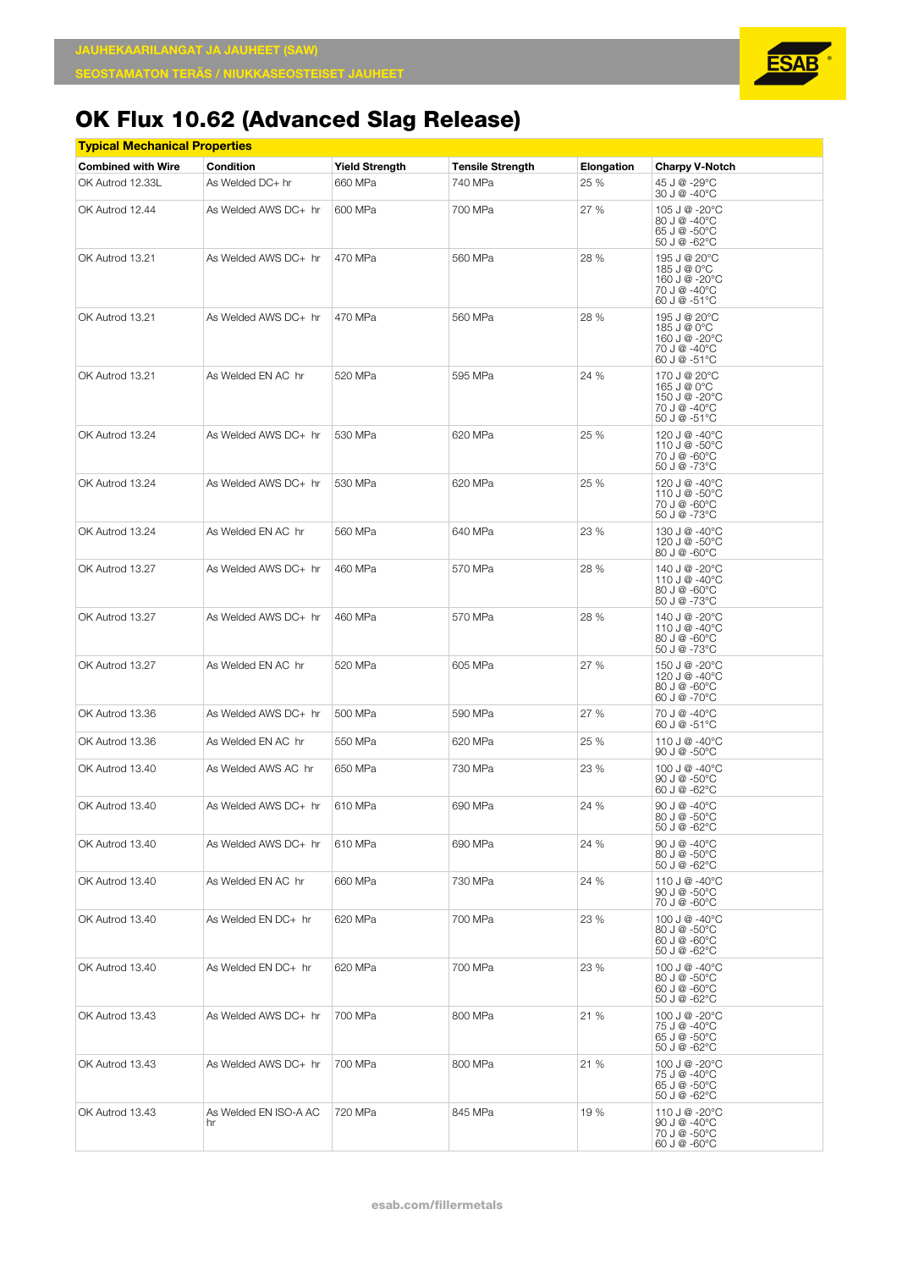| <b>Typical Mechanical Properties</b> |                             |                       |                         |            |                                                                                |
|--------------------------------------|-----------------------------|-----------------------|-------------------------|------------|--------------------------------------------------------------------------------|
| <b>Combined with Wire</b>            | Condition                   | <b>Yield Strength</b> | <b>Tensile Strength</b> | Elongation | <b>Charpy V-Notch</b>                                                          |
| OK Autrod 12.33L                     | As Welded DC+ hr            | 660 MPa               | 740 MPa                 | 25 %       | 45 J @ -29°C<br>30 J @ -40°C                                                   |
| OK Autrod 12.44                      | As Welded AWS DC+ hr        | 600 MPa               | 700 MPa                 | 27 %       | 105 J @ -20°C<br>80 J @ -40°C<br>65 J @ -50°C<br>50 J @ -62°C                  |
| OK Autrod 13.21                      | As Welded AWS DC+ hr        | 470 MPa               | 560 MPa                 | 28 %       | 195 J @ 20°C<br>185 J @ 0°C<br>160 J @ -20°C<br>70 J @ -40°C<br>60 J @ -51°C   |
| OK Autrod 13.21                      | As Welded AWS DC+ hr        | 470 MPa               | 560 MPa                 | 28 %       | 195 J @ 20°C<br>185 J @ 0°C<br>160 J @ -20°C<br>70 J @ -40°C<br>60 J @ -51°C   |
| OK Autrod 13.21                      | As Welded EN AC hr          | 520 MPa               | 595 MPa                 | 24 %       | 170 J @ 20°C<br>165 J @ 0°C<br>150 J @ -20°C<br>70 J @ -40°C<br>50 J @ -51°C   |
| OK Autrod 13.24                      | As Welded AWS DC+ hr        | 530 MPa               | 620 MPa                 | 25 %       | 120 J @ -40°C<br>110 J @ -50°C<br>70 J @ -60°C<br>50 J @ -73°C                 |
| OK Autrod 13.24                      | As Welded AWS DC+ hr        | 530 MPa               | 620 MPa                 | 25 %       | 120 J @ -40°C<br>110 J @ -50°C<br>70 J @ -60°C<br>50 J @ -73°C                 |
| OK Autrod 13.24                      | As Welded EN AC hr          | 560 MPa               | 640 MPa                 | 23 %       | 130 J @ -40°C<br>120 J @ -50°C<br>80 J @ -60°C                                 |
| OK Autrod 13.27                      | As Welded AWS DC+ hr        | 460 MPa               | 570 MPa                 | 28 %       | 140 J @ -20 $^{\circ}$ C<br>110 J @ -40°C<br>80 J @ -60°C<br>50 J @ -73°C      |
| OK Autrod 13.27                      | As Welded AWS DC+ hr        | 460 MPa               | 570 MPa                 | 28 %       | 140 J @ -20°C<br>110 J @ -40°C<br>80 J @ -60°C<br>50 J @ -73°C                 |
| OK Autrod 13.27                      | As Welded EN AC hr          | 520 MPa               | 605 MPa                 | 27 %       | 150 J @ -20°C<br>120 J @ -40°C<br>$80 J @ -60°C$<br>60 J @ -70°C               |
| OK Autrod 13.36                      | As Welded AWS DC+ hr        | 500 MPa               | 590 MPa                 | 27 %       | 70 J @ -40°C<br>60 J @ -51°C                                                   |
| OK Autrod 13.36                      | As Welded EN AC hr          | 550 MPa               | 620 MPa                 | 25 %       | 110 J @ -40°C<br>90 J @ $-50^{\circ}$ C                                        |
| OK Autrod 13.40                      | As Welded AWS AC hr         | 650 MPa               | 730 MPa                 | 23 %       | 100 J @ -40°C<br>90 J $@ - 50^{\circ}$ C<br>60 J @ -62°C                       |
| OK Autrod 13.40                      | As Welded AWS DC+ hr        | 610 MPa               | 690 MPa                 | 24 %       | $90 \text{ J} \text{ } @ -40 \degree \text{C}$<br>80 J @ -50°C<br>50 J @ -62°C |
| OK Autrod 13.40                      | As Welded AWS DC+ hr        | 610 MPa               | 690 MPa                 | 24 %       | 90 J @ -40°C<br>80 J @ -50°C<br>50 J @ -62°C                                   |
| OK Autrod 13.40                      | As Welded EN AC hr          | 660 MPa               | 730 MPa                 | 24 %       | 110 J @ -40°C<br>90 J @ -50°C<br>70 J @ -60°C                                  |
| OK Autrod 13.40                      | As Welded EN DC+ hr         | 620 MPa               | 700 MPa                 | 23 %       | 100 J @ -40°C<br>80 J @ -50°C<br>$60J@ - 60°C$<br>50 J @ -62°C                 |
| OK Autrod 13.40                      | As Welded EN DC+ hr         | 620 MPa               | 700 MPa                 | 23 %       | 100 J @ -40°C<br>80 J @ -50°C<br>60 J @ -60°C<br>50 J @ -62°C                  |
| OK Autrod 13.43                      | As Welded AWS DC+ hr        | 700 MPa               | 800 MPa                 | 21 %       | 100 J @ -20°C<br>75 J @ -40°C<br>65 J @ -50°C<br>50 J @ -62°C                  |
| OK Autrod 13.43                      | As Welded AWS DC+ hr        | 700 MPa               | 800 MPa                 | 21 %       | 100 J @ -20°C<br>75 J @ -40°C<br>65 J @ $-50^{\circ}$ C<br>50 J @ -62°C        |
| OK Autrod 13.43                      | As Welded EN ISO-A AC<br>hr | 720 MPa               | 845 MPa                 | 19 %       | 110 J @ -20°C<br>90 J @ -40°C<br>70 J @ -50°C<br>60 J @ -60°C                  |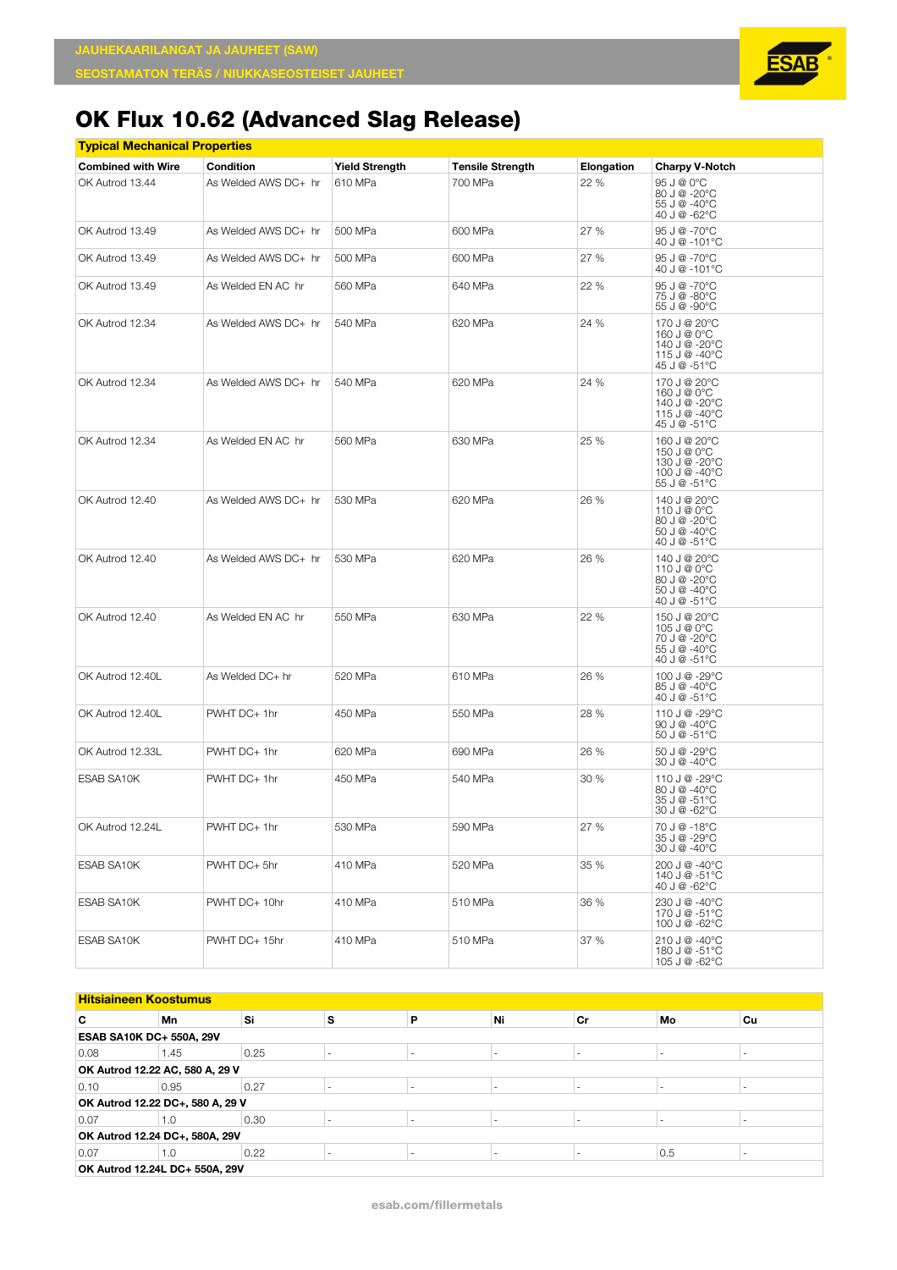| <u>Typical Mechanical Properties</u> |                      |                       |                         |            |                                                                               |  |  |  |  |  |
|--------------------------------------|----------------------|-----------------------|-------------------------|------------|-------------------------------------------------------------------------------|--|--|--|--|--|
| <b>Combined with Wire</b>            | Condition            | <b>Yield Strength</b> | <b>Tensile Strength</b> | Elongation | <b>Charpy V-Notch</b>                                                         |  |  |  |  |  |
| OK Autrod 13.44                      | As Welded AWS DC+ hr | 610 MPa               | 700 MPa                 | 22 %       | 95 J @ 0°C<br>80 J @ -20°C<br>55 J @ -40°C<br>40 J @ -62°C                    |  |  |  |  |  |
| OK Autrod 13.49                      | As Welded AWS DC+ hr | 500 MPa               | 600 MPa                 | 27 %       | 95 J @ -70°C<br>40 J @ -101°C                                                 |  |  |  |  |  |
| OK Autrod 13.49                      | As Welded AWS DC+ hr | 500 MPa               | 600 MPa                 | 27 %       | 95 J @ -70°C<br>40 J @ -101°C                                                 |  |  |  |  |  |
| OK Autrod 13.49                      | As Welded EN AC hr   | 560 MPa               | 640 MPa                 | 22 %       | 95 J @ -70°C<br>75 J @ -80°C<br>55 J @ -90°C                                  |  |  |  |  |  |
| OK Autrod 12.34                      | As Welded AWS DC+ hr | 540 MPa               | 620 MPa                 | 24 %       | 170 J @ 20°C<br>160 J @ 0°C<br>140 J @ -20°C<br>115 J @ -40°C<br>45 J @ -51°C |  |  |  |  |  |
| OK Autrod 12.34                      | As Welded AWS DC+ hr | 540 MPa               | 620 MPa                 | 24 %       | 170 J @ 20°C<br>160 J @ 0°C<br>140 J @ -20°C<br>115 J @ -40°C<br>45 J @ -51°C |  |  |  |  |  |
| OK Autrod 12.34                      | As Welded EN AC hr   | 560 MPa               | 630 MPa                 | 25 %       | 160 J @ 20°C<br>150 J @ 0°C<br>130 J @ -20°C<br>100 J @ -40°C<br>55 J @ -51°C |  |  |  |  |  |
| OK Autrod 12.40                      | As Welded AWS DC+ hr | 530 MPa               | 620 MPa                 | 26 %       | 140 J @ 20°C<br>110 J @ 0°C<br>80 J @ -20°C<br>50 J @ -40°C<br>40 J @ -51°C   |  |  |  |  |  |
| OK Autrod 12.40                      | As Welded AWS DC+ hr | 530 MPa               | 620 MPa                 | 26 %       | 140 J @ 20°C<br>110 J @ 0°C<br>80 J @ -20°C<br>50 J @ -40°C<br>40 J @ -51°C   |  |  |  |  |  |
| OK Autrod 12.40                      | As Welded EN AC hr   | 550 MPa               | 630 MPa                 | 22 %       | 150 J @ 20°C<br>105 J @ 0°C<br>70 J @ -20°C<br>55 J @ -40°C<br>40 J @ -51°C   |  |  |  |  |  |
| OK Autrod 12.40L                     | As Welded DC+ hr     | 520 MPa               | 610 MPa                 | 26 %       | 100 J @ -29°C<br>85 J @ -40°C<br>40 J @ -51°C                                 |  |  |  |  |  |
| OK Autrod 12.40L                     | PWHT DC+ 1hr         | 450 MPa               | 550 MPa                 | 28 %       | 110 J @ -29°C<br>90 J $@ - 40^{\circ}$ C<br>50 J @ -51°C                      |  |  |  |  |  |
| OK Autrod 12.33L                     | PWHT DC+ 1hr         | 620 MPa               | 690 MPa                 | 26 %       | 50 J @ -29°C<br>30 J @ -40°C                                                  |  |  |  |  |  |
| ESAB SA10K                           | PWHT DC+ 1hr         | 450 MPa               | 540 MPa                 | 30%        | 110 J @ -29°C<br>80 J @ -40°C<br>35 J @ -51 $^{\circ}$ C<br>30 J @ -62°C      |  |  |  |  |  |
| OK Autrod 12.24L                     | PWHT DC+ 1hr         | 530 MPa               | 590 MPa                 | 27 %       | 70 J @ -18°C<br>35 J @ -29°C<br>30 J @ -40°C                                  |  |  |  |  |  |
| ESAB SA10K                           | PWHT DC+ 5hr         | 410 MPa               | 520 MPa                 | 35 %       | 200 J @ -40°C<br>140 J @ -51°C<br>40 J @ -62°C                                |  |  |  |  |  |
| ESAB SA10K                           | PWHT DC+ 10hr        | 410 MPa               | 510 MPa                 | 36 %       | 230 J @ -40°C<br>170 J @ -51°C<br>100 J @ -62°C                               |  |  |  |  |  |
| ESAB SA10K                           | PWHT DC+ 15hr        | 410 MPa               | 510 MPa                 | 37 %       | 210 J @ -40°C<br>180 J @ -51°C<br>105 J @ -62°C                               |  |  |  |  |  |

| <b>Hitsiaineen Koostumus</b>    |                                  |      |   |   |                          |                          |     |    |  |
|---------------------------------|----------------------------------|------|---|---|--------------------------|--------------------------|-----|----|--|
| C                               | Mn                               | Si   | s | P | Ni                       | Cr                       | Mo  | Cu |  |
| <b>ESAB SA10K DC+ 550A, 29V</b> |                                  |      |   |   |                          |                          |     |    |  |
| 0.08                            | 1.45                             | 0.25 |   |   | $\overline{\phantom{a}}$ | $\,$                     |     |    |  |
|                                 | OK Autrod 12.22 AC, 580 A, 29 V  |      |   |   |                          |                          |     |    |  |
| 0.10                            | 0.95                             | 0.27 |   |   |                          |                          |     |    |  |
|                                 | OK Autrod 12.22 DC+, 580 A, 29 V |      |   |   |                          |                          |     |    |  |
| 0.07                            | 1.0                              | 0.30 |   |   |                          | $\overline{\phantom{a}}$ |     |    |  |
| OK Autrod 12.24 DC+, 580A, 29V  |                                  |      |   |   |                          |                          |     |    |  |
| 0.07                            | 1.0                              | 0.22 |   |   |                          |                          | 0.5 |    |  |
| OK Autrod 12.24L DC+ 550A, 29V  |                                  |      |   |   |                          |                          |     |    |  |